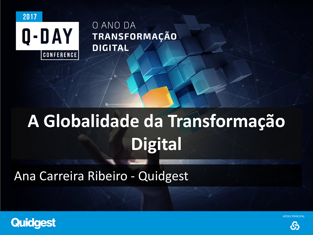



O ANO DA TRANSFORMAÇÃO **DIGITAL** 

# **A Globalidade da Transformação Digital**

#### Ana Carreira Ribeiro - Quidgest



APOIO PRINCIPAL

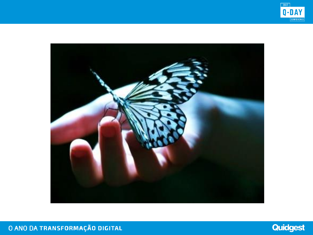



O ANO DA TRANSFORMAÇÃO DIGITAL

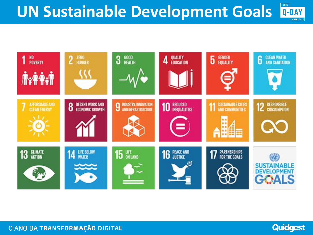#### **UN Sustainable Development Goals**





 $2017$ 

 $0 - DAY$ 

CONFERENCE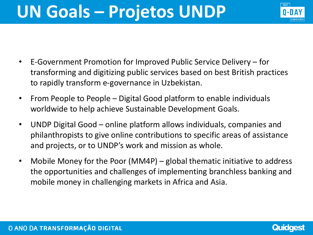## **UN Goals – Projetos UNDP**



- E-Government Promotion for Improved Public Service Delivery for transforming and digitizing public services based on best British practices to rapidly transform e-governance in Uzbekistan.
- From People to People Digital Good platform to enable individuals worldwide to help achieve Sustainable Development Goals.
- UNDP Digital Good online platform allows individuals, companies and philanthropists to give online contributions to specific areas of assistance and projects, or to UNDP's work and mission as whole.
- Mobile Money for the Poor (MM4P) global thematic initiative to address the opportunities and challenges of implementing branchless banking and mobile money in challenging markets in Africa and Asia.

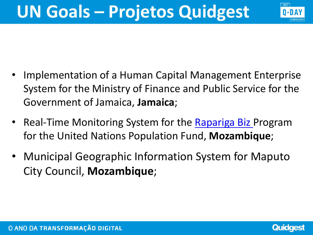

- Implementation of a Human Capital Management Enterprise System for the Ministry of Finance and Public Service for the Government of Jamaica, **Jamaica**;
- Real-Time Monitoring System for the [Rapariga](https://www.youtube.com/watch?v=TRB0-Hl4g-s&feature=youtu.be) [Biz](https://www.youtube.com/watch?v=TRB0-Hl4g-s&feature=youtu.be) Program for the United Nations Population Fund, **Mozambique**;
- Municipal Geographic Information System for Maputo City Council, **Mozambique**;

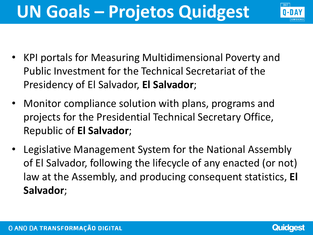## **UN Goals – Projetos Quidgest**



- KPI portals for Measuring Multidimensional Poverty and Public Investment for the Technical Secretariat of the Presidency of El Salvador, **El Salvador**;
- Monitor compliance solution with plans, programs and projects for the Presidential Technical Secretary Office, Republic of **El Salvador**;
- Legislative Management System for the National Assembly of El Salvador, following the lifecycle of any enacted (or not) law at the Assembly, and producing consequent statistics, **El Salvador**;

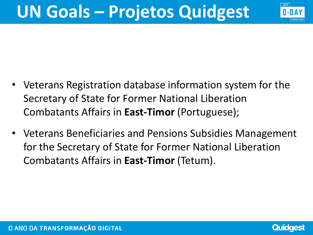

- Veterans Registration database information system for the Secretary of State for Former National Liberation Combatants Affairs in **East-Timor** (Portuguese);
- Veterans Beneficiaries and Pensions Subsidies Management for the Secretary of State for Former National Liberation Combatants Affairs in **East-Timor** (Tetum).

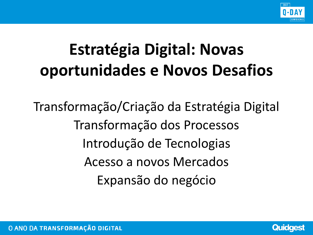

### **Estratégia Digital: Novas oportunidades e Novos Desafios**

Transformação/Criação da Estratégia Digital Transformação dos Processos Introdução de Tecnologias Acesso a novos Mercados Expansão do negócio

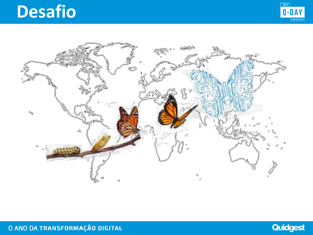#### **Desafio**





O ANO DA TRANSFORMAÇÃO DIGITAL